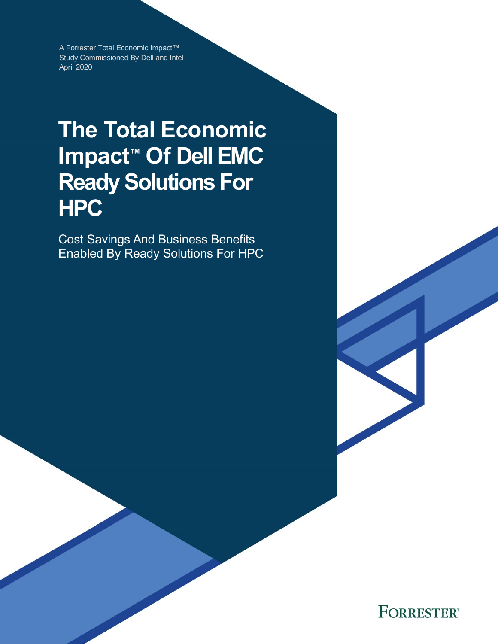A Forrester Total Economic Impact™ Study Commissioned By Dell and Intel April 2020

# **The Total Economic Impact™ Of Dell EMC Ready Solutions For HPC**

Cost Savings And Business Benefits Enabled By Ready Solutions For HPC

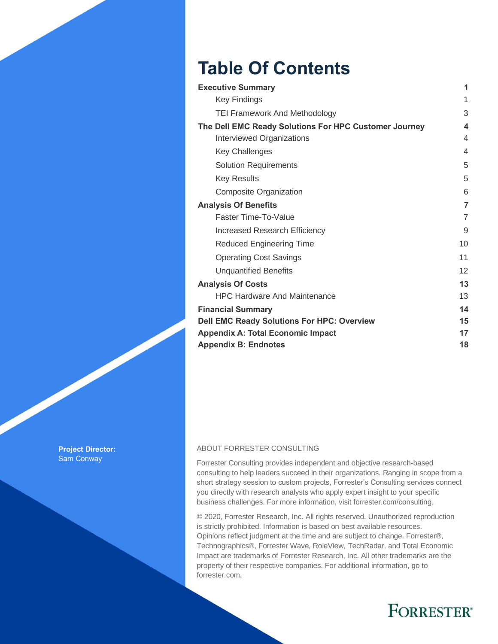# **Table Of Contents**

| <b>Executive Summary</b>                              | 1              |
|-------------------------------------------------------|----------------|
| <b>Key Findings</b>                                   | 1              |
| <b>TEI Framework And Methodology</b>                  | 3              |
| The Dell EMC Ready Solutions For HPC Customer Journey | 4              |
| Interviewed Organizations                             | 4              |
| <b>Key Challenges</b>                                 | 4              |
| <b>Solution Requirements</b>                          | 5              |
| <b>Key Results</b>                                    | 5              |
| Composite Organization                                | 6              |
| <b>Analysis Of Benefits</b>                           | $\overline{7}$ |
| Faster Time-To-Value                                  | 7              |
| <b>Increased Research Efficiency</b>                  | 9              |
| <b>Reduced Engineering Time</b>                       | 10             |
| <b>Operating Cost Savings</b>                         | 11             |
| <b>Unquantified Benefits</b>                          | 12             |
| <b>Analysis Of Costs</b>                              | 13             |
| <b>HPC Hardware And Maintenance</b>                   | 13             |
| <b>Financial Summary</b>                              | 14             |
| <b>Dell EMC Ready Solutions For HPC: Overview</b>     | 15             |
| <b>Appendix A: Total Economic Impact</b>              | 17             |
| <b>Appendix B: Endnotes</b>                           | 18             |

**Project Director:** Sam Conway

### ABOUT FORRESTER CONSULTING

Forrester Consulting provides independent and objective research-based consulting to help leaders succeed in their organizations. Ranging in scope from a short strategy session to custom projects, Forrester's Consulting services connect you directly with research analysts who apply expert insight to your specific business challenges. For more information, visit forrester.com/consulting.

© 2020, Forrester Research, Inc. All rights reserved. Unauthorized reproduction is strictly prohibited. Information is based on best available resources. Opinions reflect judgment at the time and are subject to change. Forrester®, Technographics®, Forrester Wave, RoleView, TechRadar, and Total Economic Impact are trademarks of Forrester Research, Inc. All other trademarks are the property of their respective companies. For additional information, go to forrester.com.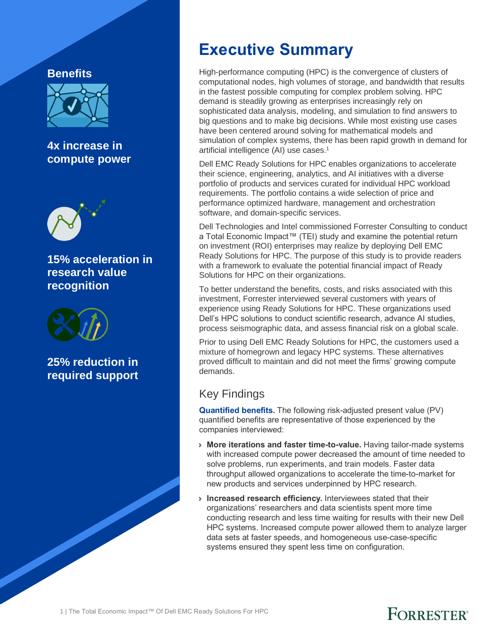### **Benefits**



**4x increase in compute power**



**15% acceleration in research value recognition**



**25% reduction in required support**

## **Executive Summary**

High-performance computing (HPC) is the convergence of clusters of computational nodes, high volumes of storage, and bandwidth that results in the fastest possible computing for complex problem solving. HPC demand is steadily growing as enterprises increasingly rely on sophisticated data analysis, modeling, and simulation to find answers to big questions and to make big decisions. While most existing use cases have been centered around solving for mathematical models and simulation of complex systems, there has been rapid growth in demand for artificial intelligence (AI) use cases.<sup>1</sup>

Dell EMC Ready Solutions for HPC enables organizations to accelerate their science, engineering, analytics, and AI initiatives with a diverse portfolio of products and services curated for individual HPC workload requirements. The portfolio contains a wide selection of price and performance optimized hardware, management and orchestration software, and domain-specific services.

Dell Technologies and Intel commissioned Forrester Consulting to conduct a Total Economic Impact™ (TEI) study and examine the potential return on investment (ROI) enterprises may realize by deploying Dell EMC Ready Solutions for HPC. The purpose of this study is to provide readers with a framework to evaluate the potential financial impact of Ready Solutions for HPC on their organizations.

To better understand the benefits, costs, and risks associated with this investment, Forrester interviewed several customers with years of experience using Ready Solutions for HPC. These organizations used Dell's HPC solutions to conduct scientific research, advance AI studies, process seismographic data, and assess financial risk on a global scale.

Prior to using Dell EMC Ready Solutions for HPC, the customers used a mixture of homegrown and legacy HPC systems. These alternatives proved difficult to maintain and did not meet the firms' growing compute demands.

### Key Findings

**Quantified benefits.** The following risk-adjusted present value (PV) quantified benefits are representative of those experienced by the companies interviewed:

- › **More iterations and faster time-to-value.** Having tailor-made systems with increased compute power decreased the amount of time needed to solve problems, run experiments, and train models. Faster data throughput allowed organizations to accelerate the time-to-market for new products and services underpinned by HPC research.
- › **Increased research efficiency.** Interviewees stated that their organizations' researchers and data scientists spent more time conducting research and less time waiting for results with their new Dell HPC systems. Increased compute power allowed them to analyze larger data sets at faster speeds, and homogeneous use-case-specific systems ensured they spent less time on configuration.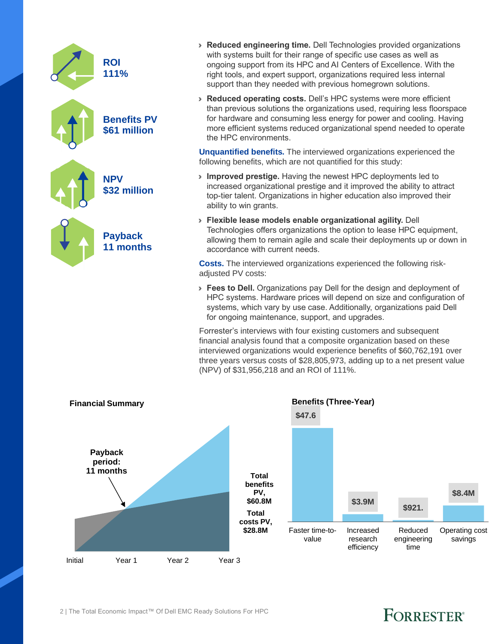| <b>ROI</b><br>111%                 |
|------------------------------------|
| <b>Benefits PV</b><br>\$61 million |
| <b>NPV</b><br>\$32 million         |
| <b>Payback</b><br>11 months        |
|                                    |

- › **Reduced engineering time.** Dell Technologies provided organizations with systems built for their range of specific use cases as well as ongoing support from its HPC and AI Centers of Excellence. With the right tools, and expert support, organizations required less internal support than they needed with previous homegrown solutions.
- › **Reduced operating costs.** Dell's HPC systems were more efficient than previous solutions the organizations used, requiring less floorspace for hardware and consuming less energy for power and cooling. Having more efficient systems reduced organizational spend needed to operate the HPC environments.

**Unquantified benefits.** The interviewed organizations experienced the following benefits, which are not quantified for this study:

- › **Improved prestige.** Having the newest HPC deployments led to increased organizational prestige and it improved the ability to attract top-tier talent. Organizations in higher education also improved their ability to win grants.
- › **Flexible lease models enable organizational agility.** Dell Technologies offers organizations the option to lease HPC equipment, allowing them to remain agile and scale their deployments up or down in accordance with current needs.

**Costs.** The interviewed organizations experienced the following riskadjusted PV costs:

› **Fees to Dell.** Organizations pay Dell for the design and deployment of HPC systems. Hardware prices will depend on size and configuration of systems, which vary by use case. Additionally, organizations paid Dell for ongoing maintenance, support, and upgrades.

Forrester's interviews with four existing customers and subsequent financial analysis found that a composite organization based on these interviewed organizations would experience benefits of \$60,762,191 over three years versus costs of \$28,805,973, adding up to a net present value (NPV) of \$31,956,218 and an ROI of 111%.

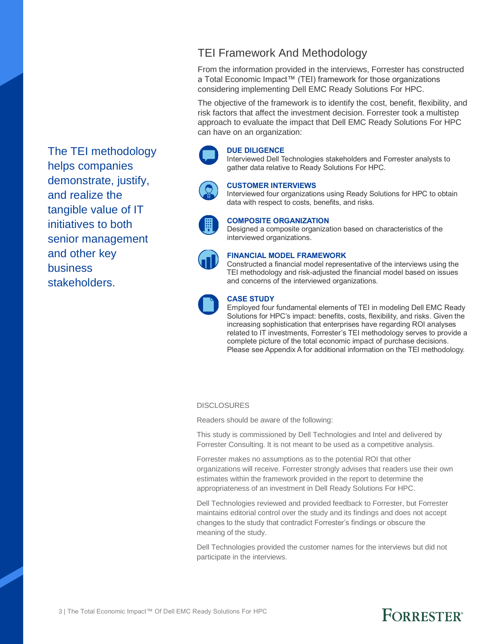The TEI methodology helps companies demonstrate, justify, and realize the tangible value of IT initiatives to both senior management and other key business stakeholders.

### TEI Framework And Methodology

From the information provided in the interviews, Forrester has constructed a Total Economic Impact™ (TEI) framework for those organizations considering implementing Dell EMC Ready Solutions For HPC.

The objective of the framework is to identify the cost, benefit, flexibility, and risk factors that affect the investment decision. Forrester took a multistep approach to evaluate the impact that Dell EMC Ready Solutions For HPC can have on an organization:

### **DUE DILIGENCE**

Interviewed Dell Technologies stakeholders and Forrester analysts to gather data relative to Ready Solutions For HPC.



### **CUSTOMER INTERVIEWS**

Interviewed four organizations using Ready Solutions for HPC to obtain data with respect to costs, benefits, and risks.



### **COMPOSITE ORGANIZATION**

Designed a composite organization based on characteristics of the interviewed organizations.



### **FINANCIAL MODEL FRAMEWORK**

Constructed a financial model representative of the interviews using the TEI methodology and risk-adjusted the financial model based on issues and concerns of the interviewed organizations.



### **CASE STUDY**

Employed four fundamental elements of TEI in modeling Dell EMC Ready Solutions for HPC's impact: benefits, costs, flexibility, and risks. Given the increasing sophistication that enterprises have regarding ROI analyses related to IT investments, Forrester's TEI methodology serves to provide a complete picture of the total economic impact of purchase decisions. Please see Appendix A for additional information on the TEI methodology.

#### **DISCLOSURES**

Readers should be aware of the following:

This study is commissioned by Dell Technologies and Intel and delivered by Forrester Consulting. It is not meant to be used as a competitive analysis.

Forrester makes no assumptions as to the potential ROI that other organizations will receive. Forrester strongly advises that readers use their own estimates within the framework provided in the report to determine the appropriateness of an investment in Dell Ready Solutions For HPC.

Dell Technologies reviewed and provided feedback to Forrester, but Forrester maintains editorial control over the study and its findings and does not accept changes to the study that contradict Forrester's findings or obscure the meaning of the study.

Dell Technologies provided the customer names for the interviews but did not participate in the interviews.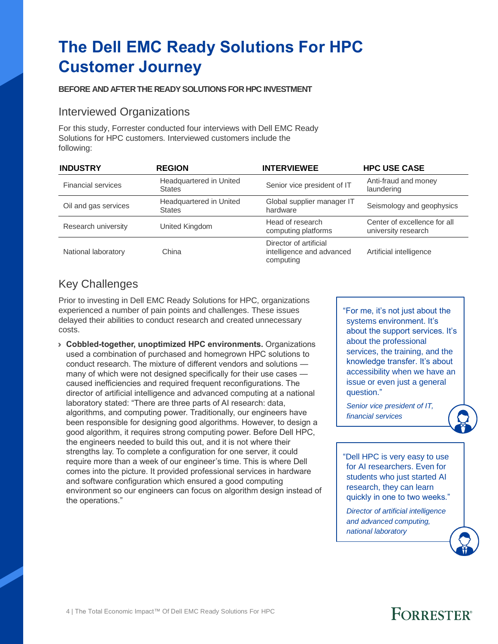# **The Dell EMC Ready Solutions For HPC Customer Journey**

### **BEFORE AND AFTER THE READY SOLUTIONS FOR HPC INVESTMENT**

### Interviewed Organizations

For this study, Forrester conducted four interviews with Dell EMC Ready Solutions for HPC customers. Interviewed customers include the following:

| <b>INDUSTRY</b>           | <b>REGION</b>                            | <b>INTERVIEWEE</b>                                               | <b>HPC USE CASE</b>                                 |  |  |
|---------------------------|------------------------------------------|------------------------------------------------------------------|-----------------------------------------------------|--|--|
| <b>Financial services</b> | Headquartered in United<br><b>States</b> | Senior vice president of IT                                      | Anti-fraud and money<br>laundering                  |  |  |
| Oil and gas services      | Headquartered in United<br><b>States</b> | Global supplier manager IT<br>hardware                           | Seismology and geophysics                           |  |  |
| Research university       | United Kingdom                           | Head of research<br>computing platforms                          | Center of excellence for all<br>university research |  |  |
| National laboratory       | China                                    | Director of artificial<br>intelligence and advanced<br>computing | Artificial intelligence                             |  |  |

### Key Challenges

Prior to investing in Dell EMC Ready Solutions for HPC, organizations experienced a number of pain points and challenges. These issues delayed their abilities to conduct research and created unnecessary costs.

› **Cobbled-together, unoptimized HPC environments.** Organizations used a combination of purchased and homegrown HPC solutions to conduct research. The mixture of different vendors and solutions many of which were not designed specifically for their use cases caused inefficiencies and required frequent reconfigurations. The director of artificial intelligence and advanced computing at a national laboratory stated: "There are three parts of AI research: data, algorithms, and computing power. Traditionally, our engineers have been responsible for designing good algorithms. However, to design a good algorithm, it requires strong computing power. Before Dell HPC, the engineers needed to build this out, and it is not where their strengths lay. To complete a configuration for one server, it could require more than a week of our engineer's time. This is where Dell comes into the picture. It provided professional services in hardware and software configuration which ensured a good computing environment so our engineers can focus on algorithm design instead of the operations."

"For me, it's not just about the systems environment. It's about the support services. It's about the professional services, the training, and the knowledge transfer. It's about accessibility when we have an issue or even just a general question."

*Senior vice president of IT, financial services*

"Dell HPC is very easy to use for AI researchers. Even for students who just started AI research, they can learn quickly in one to two weeks."

*Director of artificial intelligence and advanced computing, national laboratory*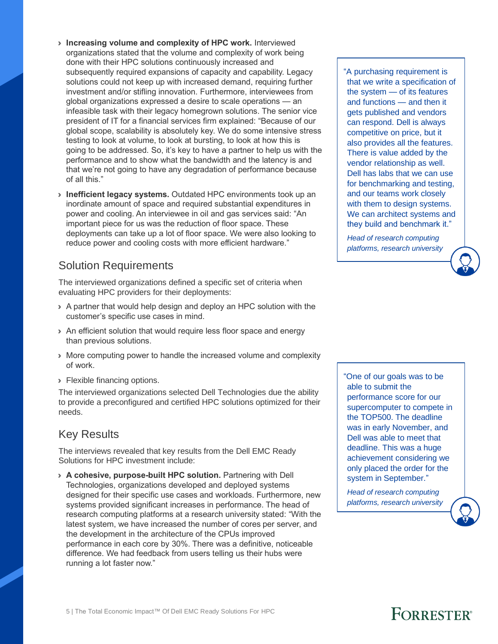- › **Increasing volume and complexity of HPC work.** Interviewed organizations stated that the volume and complexity of work being done with their HPC solutions continuously increased and subsequently required expansions of capacity and capability. Legacy solutions could not keep up with increased demand, requiring further investment and/or stifling innovation. Furthermore, interviewees from global organizations expressed a desire to scale operations — an infeasible task with their legacy homegrown solutions. The senior vice president of IT for a financial services firm explained: "Because of our global scope, scalability is absolutely key. We do some intensive stress testing to look at volume, to look at bursting, to look at how this is going to be addressed. So, it's key to have a partner to help us with the performance and to show what the bandwidth and the latency is and that we're not going to have any degradation of performance because of all this."
- › **Inefficient legacy systems.** Outdated HPC environments took up an inordinate amount of space and required substantial expenditures in power and cooling. An interviewee in oil and gas services said: "An important piece for us was the reduction of floor space. These deployments can take up a lot of floor space. We were also looking to reduce power and cooling costs with more efficient hardware."

### Solution Requirements

The interviewed organizations defined a specific set of criteria when evaluating HPC providers for their deployments:

- › A partner that would help design and deploy an HPC solution with the customer's specific use cases in mind.
- › An efficient solution that would require less floor space and energy than previous solutions.
- › More computing power to handle the increased volume and complexity of work.
- › Flexible financing options.

The interviewed organizations selected Dell Technologies due the ability to provide a preconfigured and certified HPC solutions optimized for their needs.

### Key Results

The interviews revealed that key results from the Dell EMC Ready Solutions for HPC investment include:

› **A cohesive, purpose-built HPC solution.** Partnering with Dell Technologies, organizations developed and deployed systems designed for their specific use cases and workloads. Furthermore, new systems provided significant increases in performance. The head of research computing platforms at a research university stated: "With the latest system, we have increased the number of cores per server, and the development in the architecture of the CPUs improved performance in each core by 30%. There was a definitive, noticeable difference. We had feedback from users telling us their hubs were running a lot faster now."

"A purchasing requirement is that we write a specification of the system — of its features and functions — and then it gets published and vendors can respond. Dell is always competitive on price, but it also provides all the features. There is value added by the vendor relationship as well. Dell has labs that we can use for benchmarking and testing, and our teams work closely with them to design systems. We can architect systems and they build and benchmark it."

*Head of research computing platforms, research university*

"One of our goals was to be able to submit the performance score for our supercomputer to compete in the TOP500. The deadline was in early November, and Dell was able to meet that deadline. This was a huge achievement considering we only placed the order for the system in September."

*Head of research computing platforms, research university*

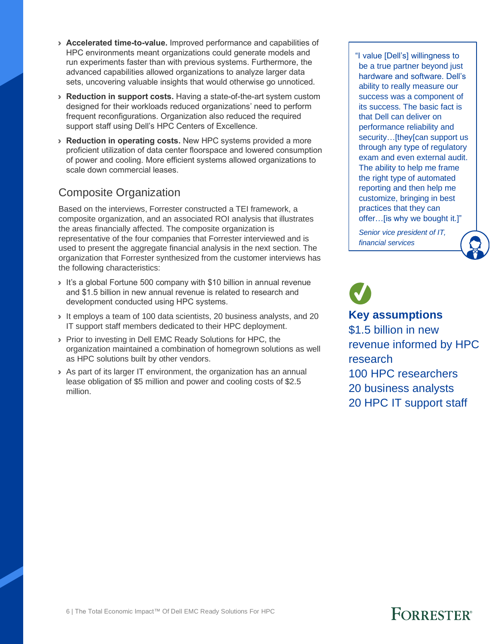- › **Accelerated time-to-value.** Improved performance and capabilities of HPC environments meant organizations could generate models and run experiments faster than with previous systems. Furthermore, the advanced capabilities allowed organizations to analyze larger data sets, uncovering valuable insights that would otherwise go unnoticed.
- › **Reduction in support costs.** Having a state-of-the-art system custom designed for their workloads reduced organizations' need to perform frequent reconfigurations. Organization also reduced the required support staff using Dell's HPC Centers of Excellence.
- › **Reduction in operating costs.** New HPC systems provided a more proficient utilization of data center floorspace and lowered consumption of power and cooling. More efficient systems allowed organizations to scale down commercial leases.

### Composite Organization

Based on the interviews, Forrester constructed a TEI framework, a composite organization, and an associated ROI analysis that illustrates the areas financially affected. The composite organization is representative of the four companies that Forrester interviewed and is used to present the aggregate financial analysis in the next section. The organization that Forrester synthesized from the customer interviews has the following characteristics:

- › It's a global Fortune 500 company with \$10 billion in annual revenue and \$1.5 billion in new annual revenue is related to research and development conducted using HPC systems.
- › It employs a team of 100 data scientists, 20 business analysts, and 20 IT support staff members dedicated to their HPC deployment.
- › Prior to investing in Dell EMC Ready Solutions for HPC, the organization maintained a combination of homegrown solutions as well as HPC solutions built by other vendors.
- › As part of its larger IT environment, the organization has an annual lease obligation of \$5 million and power and cooling costs of \$2.5 million.

"I value [Dell's] willingness to be a true partner beyond just hardware and software. Dell's ability to really measure our success was a component of its success. The basic fact is that Dell can deliver on performance reliability and security...[they[can support us through any type of regulatory exam and even external audit. The ability to help me frame the right type of automated reporting and then help me customize, bringing in best practices that they can offer…[is why we bought it.]"

*Senior vice president of IT, financial services*



### **Key assumptions**

\$1.5 billion in new revenue informed by HPC research 100 HPC researchers 20 business analysts 20 HPC IT support staff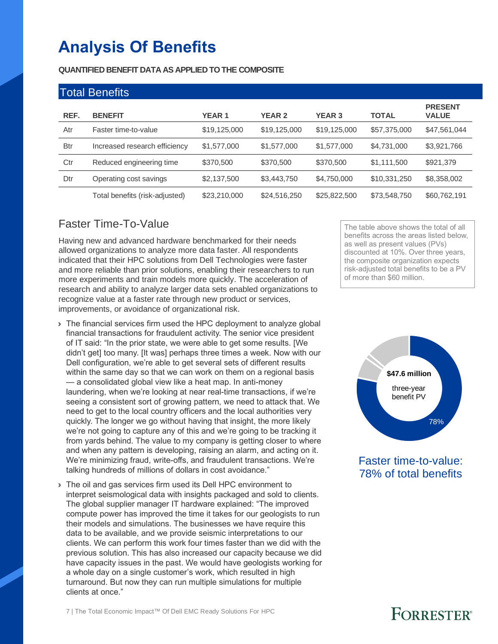# **Analysis Of Benefits**

**QUANTIFIED BENEFIT DATA AS APPLIED TO THE COMPOSITE**

| <b>Total Benefits</b> |                                |              |               |               |              |                                |
|-----------------------|--------------------------------|--------------|---------------|---------------|--------------|--------------------------------|
| REF.                  | <b>BENEFIT</b>                 | <b>YEAR1</b> | <b>YEAR 2</b> | <b>YEAR 3</b> | <b>TOTAL</b> | <b>PRESENT</b><br><b>VALUE</b> |
| Atr                   | Faster time-to-value           | \$19,125,000 | \$19,125,000  | \$19,125,000  | \$57,375,000 | \$47,561,044                   |
| <b>Btr</b>            | Increased research efficiency  | \$1,577,000  | \$1,577,000   | \$1,577,000   | \$4,731,000  | \$3,921,766                    |
| Ctr                   | Reduced engineering time       | \$370,500    | \$370,500     | \$370,500     | \$1,111,500  | \$921,379                      |
| Dtr                   | Operating cost savings         | \$2,137,500  | \$3,443,750   | \$4,750,000   | \$10,331,250 | \$8,358,002                    |
|                       | Total benefits (risk-adjusted) | \$23,210,000 | \$24,516,250  | \$25,822,500  | \$73,548,750 | \$60,762,191                   |

### Faster Time-To-Value

Having new and advanced hardware benchmarked for their needs allowed organizations to analyze more data faster. All respondents indicated that their HPC solutions from Dell Technologies were faster and more reliable than prior solutions, enabling their researchers to run more experiments and train models more quickly. The acceleration of research and ability to analyze larger data sets enabled organizations to recognize value at a faster rate through new product or services, improvements, or avoidance of organizational risk.

- › The financial services firm used the HPC deployment to analyze global financial transactions for fraudulent activity. The senior vice president of IT said: "In the prior state, we were able to get some results. [We didn't get] too many. [It was] perhaps three times a week. Now with our Dell configuration, we're able to get several sets of different results within the same day so that we can work on them on a regional basis — a consolidated global view like a heat map. In anti-money laundering, when we're looking at near real-time transactions, if we're seeing a consistent sort of growing pattern, we need to attack that. We need to get to the local country officers and the local authorities very quickly. The longer we go without having that insight, the more likely we're not going to capture any of this and we're going to be tracking it from yards behind. The value to my company is getting closer to where and when any pattern is developing, raising an alarm, and acting on it. We're minimizing fraud, write-offs, and fraudulent transactions. We're talking hundreds of millions of dollars in cost avoidance."
- › The oil and gas services firm used its Dell HPC environment to interpret seismological data with insights packaged and sold to clients. The global supplier manager IT hardware explained: "The improved compute power has improved the time it takes for our geologists to run their models and simulations. The businesses we have require this data to be available, and we provide seismic interpretations to our clients. We can perform this work four times faster than we did with the previous solution. This has also increased our capacity because we did have capacity issues in the past. We would have geologists working for a whole day on a single customer's work, which resulted in high turnaround. But now they can run multiple simulations for multiple clients at once."

The table above shows the total of all benefits across the areas listed below, as well as present values (PVs) discounted at 10%. Over three years, the composite organization expects risk-adjusted total benefits to be a PV of more than \$60 million.



Faster time-to-value: 78% of total benefits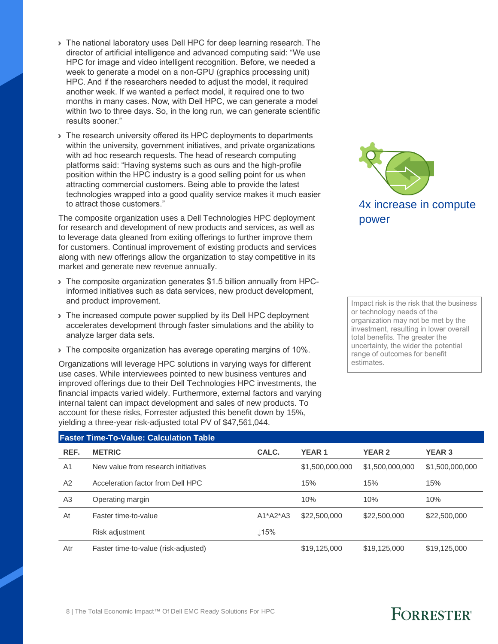- › The national laboratory uses Dell HPC for deep learning research. The director of artificial intelligence and advanced computing said: "We use HPC for image and video intelligent recognition. Before, we needed a week to generate a model on a non-GPU (graphics processing unit) HPC. And if the researchers needed to adjust the model, it required another week. If we wanted a perfect model, it required one to two months in many cases. Now, with Dell HPC, we can generate a model within two to three days. So, in the long run, we can generate scientific results sooner."
- › The research university offered its HPC deployments to departments within the university, government initiatives, and private organizations with ad hoc research requests. The head of research computing platforms said: "Having systems such as ours and the high-profile position within the HPC industry is a good selling point for us when attracting commercial customers. Being able to provide the latest technologies wrapped into a good quality service makes it much easier to attract those customers."

The composite organization uses a Dell Technologies HPC deployment for research and development of new products and services, as well as to leverage data gleaned from exiting offerings to further improve them for customers. Continual improvement of existing products and services along with new offerings allow the organization to stay competitive in its market and generate new revenue annually.

- › The composite organization generates \$1.5 billion annually from HPCinformed initiatives such as data services, new product development, and product improvement.
- › The increased compute power supplied by its Dell HPC deployment accelerates development through faster simulations and the ability to analyze larger data sets.
- › The composite organization has average operating margins of 10%.

Organizations will leverage HPC solutions in varying ways for different use cases. While interviewees pointed to new business ventures and improved offerings due to their Dell Technologies HPC investments, the financial impacts varied widely. Furthermore, external factors and varying internal talent can impact development and sales of new products. To account for these risks, Forrester adjusted this benefit down by 15%, yielding a three-year risk-adjusted total PV of \$47,561,044.



Impact risk is the risk that the business or technology needs of the organization may not be met by the investment, resulting in lower overall total benefits. The greater the uncertainty, the wider the potential range of outcomes for benefit estimates.

### **Faster Time-To-Value: Calculation Table REF. METRIC CALC. YEAR 1 YEAR 2 YEAR 3** A1 New value from research initiatives  $$1,500,000,000$   $$1,500,000,000$   $$1,500,000,000$   $$1,500,000,000$ A2 Acceleration factor from Dell HPC 15% 15% 15% 15% 15% 15% A3 Operating margin 10% 10% 10% 10% 10% 10% At Faster time-to-value  $A1*A2*A3$  \$22,500,000 \$22,500,000 \$22,500,000 Risk adjustment  $\qquad \qquad \downarrow$  15% Atr Faster time-to-value (risk-adjusted) \$19,125,000 \$19,125,000 \$19,125,000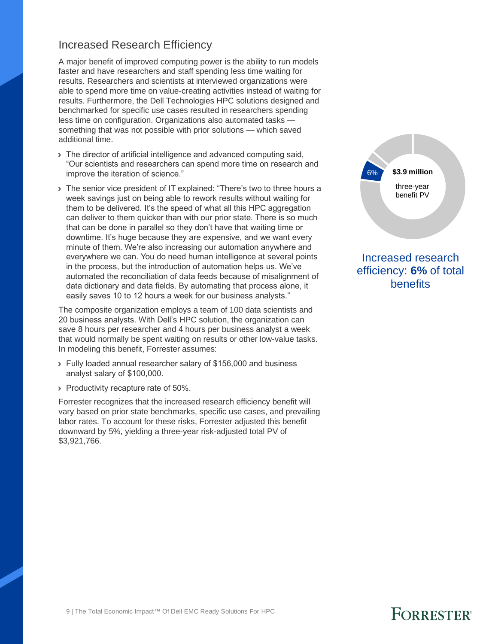### Increased Research Efficiency

A major benefit of improved computing power is the ability to run models faster and have researchers and staff spending less time waiting for results. Researchers and scientists at interviewed organizations were able to spend more time on value-creating activities instead of waiting for results. Furthermore, the Dell Technologies HPC solutions designed and benchmarked for specific use cases resulted in researchers spending less time on configuration. Organizations also automated tasks something that was not possible with prior solutions — which saved additional time.

- › The director of artificial intelligence and advanced computing said, "Our scientists and researchers can spend more time on research and improve the iteration of science."
- › The senior vice president of IT explained: "There's two to three hours a week savings just on being able to rework results without waiting for them to be delivered. It's the speed of what all this HPC aggregation can deliver to them quicker than with our prior state. There is so much that can be done in parallel so they don't have that waiting time or downtime. It's huge because they are expensive, and we want every minute of them. We're also increasing our automation anywhere and everywhere we can. You do need human intelligence at several points in the process, but the introduction of automation helps us. We've automated the reconciliation of data feeds because of misalignment of data dictionary and data fields. By automating that process alone, it easily saves 10 to 12 hours a week for our business analysts."

The composite organization employs a team of 100 data scientists and 20 business analysts. With Dell's HPC solution, the organization can save 8 hours per researcher and 4 hours per business analyst a week that would normally be spent waiting on results or other low-value tasks. In modeling this benefit, Forrester assumes:

- › Fully loaded annual researcher salary of \$156,000 and business analyst salary of \$100,000.
- › Productivity recapture rate of 50%.

Forrester recognizes that the increased research efficiency benefit will vary based on prior state benchmarks, specific use cases, and prevailing labor rates. To account for these risks, Forrester adjusted this benefit downward by 5%, yielding a three-year risk-adjusted total PV of \$3,921,766.



Increased research efficiency: **6%** of total benefits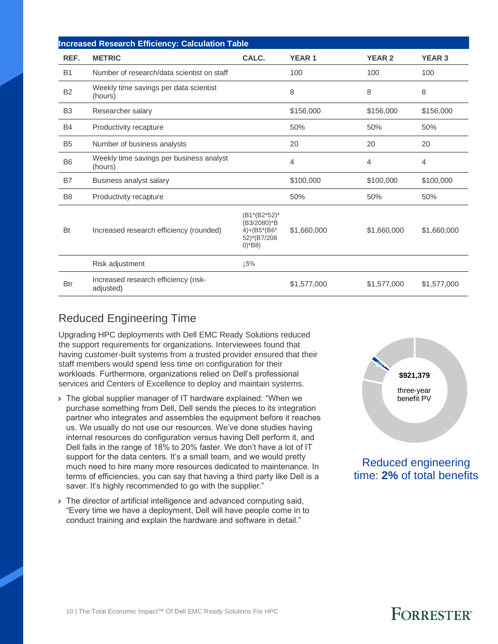|                | <b>Increased Research Efficiency: Calculation Table</b> |                                                                                       |                |                |               |  |  |  |
|----------------|---------------------------------------------------------|---------------------------------------------------------------------------------------|----------------|----------------|---------------|--|--|--|
| REF.           | <b>METRIC</b>                                           | CALC.                                                                                 | <b>YEAR1</b>   | <b>YEAR 2</b>  | <b>YEAR 3</b> |  |  |  |
| <b>B1</b>      | Number of research/data scientist on staff              |                                                                                       | 100            | 100            | 100           |  |  |  |
| <b>B2</b>      | Weekly time savings per data scientist<br>(hours)       |                                                                                       | 8              | 8              | 8             |  |  |  |
| B <sub>3</sub> | Researcher salary                                       |                                                                                       | \$156,000      | \$156,000      | \$156,000     |  |  |  |
| <b>B4</b>      | Productivity recapture                                  |                                                                                       | 50%            | 50%            | 50%           |  |  |  |
| <b>B5</b>      | Number of business analysts                             |                                                                                       | 20             | 20             | 20            |  |  |  |
| B <sub>6</sub> | Weekly time savings per business analyst<br>(hours)     |                                                                                       | $\overline{4}$ | $\overline{4}$ | 4             |  |  |  |
| <b>B7</b>      | Business analyst salary                                 |                                                                                       | \$100,000      | \$100,000      | \$100,000     |  |  |  |
| B <sub>8</sub> | Productivity recapture                                  |                                                                                       | 50%            | 50%            | 50%           |  |  |  |
| Bt             | Increased research efficiency (rounded)                 | (B1*(B2*52)*<br>(B3/2080)*B<br>$4 + (B5*(B6*)$<br>52)*(B7/208<br>$0$ <sup>*</sup> B8) | \$1,660,000    | \$1,660,000    | \$1,660,000   |  |  |  |
|                | Risk adjustment                                         | 15%                                                                                   |                |                |               |  |  |  |
| <b>Btr</b>     | Increased research efficiency (risk-<br>adjusted)       |                                                                                       | \$1,577,000    | \$1,577,000    | \$1,577,000   |  |  |  |

### Reduced Engineering Time

Upgrading HPC deployments with Dell EMC Ready Solutions reduced the support requirements for organizations. Interviewees found that having customer-built systems from a trusted provider ensured that their staff members would spend less time on configuration for their workloads. Furthermore, organizations relied on Dell's professional services and Centers of Excellence to deploy and maintain systems.

- › The global supplier manager of IT hardware explained: "When we purchase something from Dell, Dell sends the pieces to its integration partner who integrates and assembles the equipment before it reaches us. We usually do not use our resources. We've done studies having internal resources do configuration versus having Dell perform it, and Dell falls in the range of 18% to 20% faster. We don't have a lot of IT support for the data centers. It's a small team, and we would pretty much need to hire many more resources dedicated to maintenance. In terms of efficiencies, you can say that having a third party like Dell is a saver. It's highly recommended to go with the supplier."
- › The director of artificial intelligence and advanced computing said, "Every time we have a deployment, Dell will have people come in to conduct training and explain the hardware and software in detail."



Reduced engineering time: **2%** of total benefits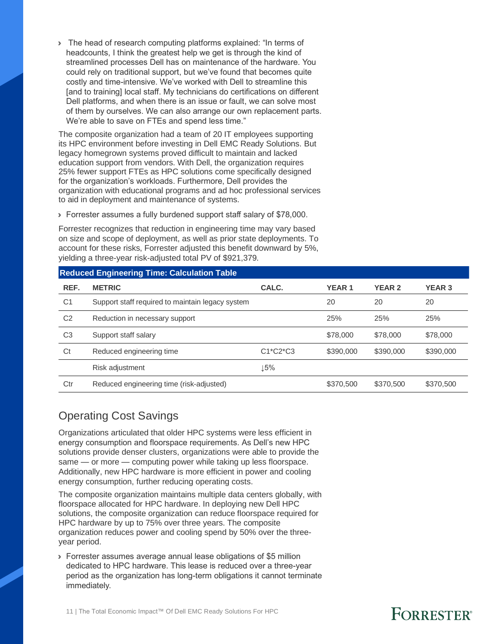› The head of research computing platforms explained: "In terms of headcounts, I think the greatest help we get is through the kind of streamlined processes Dell has on maintenance of the hardware. You could rely on traditional support, but we've found that becomes quite costly and time-intensive. We've worked with Dell to streamline this [and to training] local staff. My technicians do certifications on different Dell platforms, and when there is an issue or fault, we can solve most of them by ourselves. We can also arrange our own replacement parts. We're able to save on FTEs and spend less time."

The composite organization had a team of 20 IT employees supporting its HPC environment before investing in Dell EMC Ready Solutions. But legacy homegrown systems proved difficult to maintain and lacked education support from vendors. With Dell, the organization requires 25% fewer support FTEs as HPC solutions come specifically designed for the organization's workloads. Furthermore, Dell provides the organization with educational programs and ad hoc professional services to aid in deployment and maintenance of systems.

› Forrester assumes a fully burdened support staff salary of \$78,000.

Forrester recognizes that reduction in engineering time may vary based on size and scope of deployment, as well as prior state deployments. To account for these risks, Forrester adjusted this benefit downward by 5%, yielding a three-year risk-adjusted total PV of \$921,379.

|                | <b>Reduced Engineering Time: Calculation Table</b> |            |              |               |               |  |  |  |
|----------------|----------------------------------------------------|------------|--------------|---------------|---------------|--|--|--|
| REF.           | <b>METRIC</b>                                      | CALC.      | <b>YEAR1</b> | <b>YEAR 2</b> | <b>YEAR 3</b> |  |  |  |
| C <sub>1</sub> | Support staff required to maintain legacy system   |            | 20           | 20            | 20            |  |  |  |
| C <sub>2</sub> | Reduction in necessary support                     |            | 25%          | 25%           | 25%           |  |  |  |
| C <sub>3</sub> | Support staff salary                               |            | \$78,000     | \$78,000      | \$78,000      |  |  |  |
| Ct             | Reduced engineering time                           | $C1*C2*C3$ | \$390,000    | \$390,000     | \$390,000     |  |  |  |
|                | Risk adjustment                                    | ⊥5%        |              |               |               |  |  |  |
| Ctr            | Reduced engineering time (risk-adjusted)           |            | \$370,500    | \$370,500     | \$370,500     |  |  |  |

### Operating Cost Savings

Organizations articulated that older HPC systems were less efficient in energy consumption and floorspace requirements. As Dell's new HPC solutions provide denser clusters, organizations were able to provide the same — or more — computing power while taking up less floorspace. Additionally, new HPC hardware is more efficient in power and cooling energy consumption, further reducing operating costs.

The composite organization maintains multiple data centers globally, with floorspace allocated for HPC hardware. In deploying new Dell HPC solutions, the composite organization can reduce floorspace required for HPC hardware by up to 75% over three years. The composite organization reduces power and cooling spend by 50% over the threeyear period.

› Forrester assumes average annual lease obligations of \$5 million dedicated to HPC hardware. This lease is reduced over a three-year period as the organization has long-term obligations it cannot terminate immediately.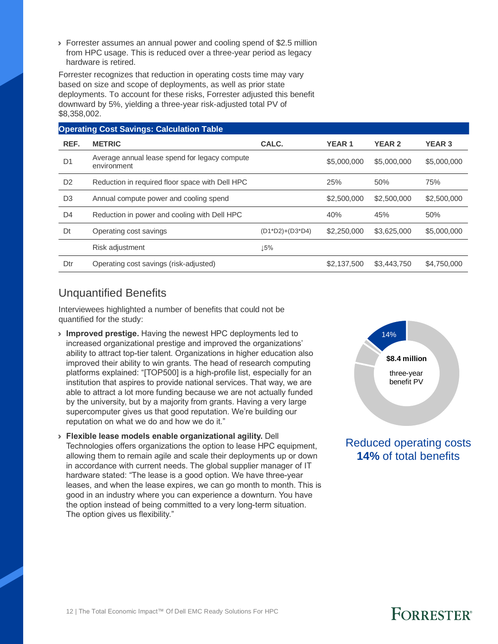› Forrester assumes an annual power and cooling spend of \$2.5 million from HPC usage. This is reduced over a three-year period as legacy hardware is retired.

Forrester recognizes that reduction in operating costs time may vary based on size and scope of deployments, as well as prior state deployments. To account for these risks, Forrester adjusted this benefit downward by 5%, yielding a three-year risk-adjusted total PV of \$8,358,002.

|                | <b>Operating Cost Savings: Calculation Table</b>             |                               |              |               |               |  |  |  |  |
|----------------|--------------------------------------------------------------|-------------------------------|--------------|---------------|---------------|--|--|--|--|
| REF.           | <b>METRIC</b>                                                | CALC.                         | <b>YEAR1</b> | <b>YEAR 2</b> | <b>YEAR 3</b> |  |  |  |  |
| D <sub>1</sub> | Average annual lease spend for legacy compute<br>environment |                               |              | \$5,000,000   | \$5,000,000   |  |  |  |  |
| D <sub>2</sub> | Reduction in required floor space with Dell HPC              |                               | 25%          | 50%           | 75%           |  |  |  |  |
| D <sub>3</sub> | Annual compute power and cooling spend                       |                               | \$2,500,000  | \$2,500,000   | \$2,500,000   |  |  |  |  |
| D <sub>4</sub> | Reduction in power and cooling with Dell HPC                 |                               | 40%          | 45%           | 50%           |  |  |  |  |
| Dt             | Operating cost savings                                       | $(D1^{\ast}D2)+(D3^{\ast}D4)$ | \$2,250,000  | \$3,625,000   | \$5,000,000   |  |  |  |  |
|                | Risk adjustment                                              | ⊥5%                           |              |               |               |  |  |  |  |
| Dtr            | Operating cost savings (risk-adjusted)                       |                               | \$2,137,500  | \$3,443,750   | \$4,750,000   |  |  |  |  |
|                |                                                              |                               |              |               |               |  |  |  |  |

### Unquantified Benefits

Interviewees highlighted a number of benefits that could not be quantified for the study:

- › **Improved prestige.** Having the newest HPC deployments led to increased organizational prestige and improved the organizations' ability to attract top-tier talent. Organizations in higher education also improved their ability to win grants. The head of research computing platforms explained: "[TOP500] is a high-profile list, especially for an institution that aspires to provide national services. That way, we are able to attract a lot more funding because we are not actually funded by the university, but by a majority from grants. Having a very large supercomputer gives us that good reputation. We're building our reputation on what we do and how we do it."
- › **Flexible lease models enable organizational agility.** Dell Technologies offers organizations the option to lease HPC equipment, allowing them to remain agile and scale their deployments up or down in accordance with current needs. The global supplier manager of IT hardware stated: "The lease is a good option. We have three-year leases, and when the lease expires, we can go month to month. This is good in an industry where you can experience a downturn. You have the option instead of being committed to a very long-term situation. The option gives us flexibility."



Reduced operating costs **14%** of total benefits

# **FORRESTER**<sup>®</sup>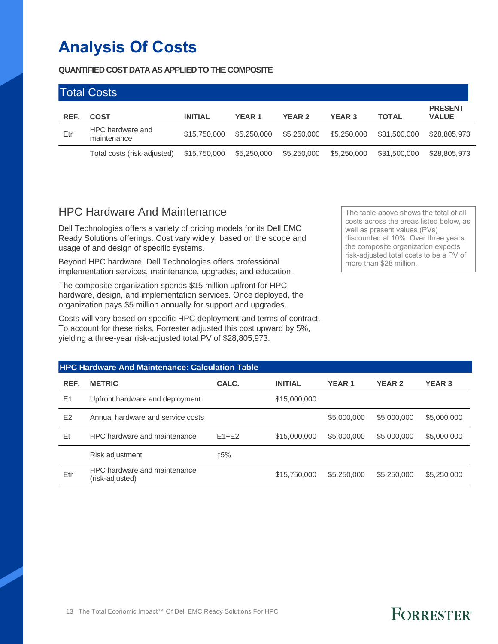# **Analysis Of Costs**

**QUANTIFIED COST DATA AS APPLIED TO THE COMPOSITE**

|      | <b>Total Costs</b>              |                |               |               |               |              |                                |
|------|---------------------------------|----------------|---------------|---------------|---------------|--------------|--------------------------------|
| REF. | <b>COST</b>                     | <b>INITIAL</b> | <b>YEAR 1</b> | <b>YEAR 2</b> | <b>YEAR 3</b> | <b>TOTAL</b> | <b>PRESENT</b><br><b>VALUE</b> |
| Etr  | HPC hardware and<br>maintenance | \$15,750,000   | \$5,250,000   | \$5,250,000   | \$5,250,000   | \$31,500,000 | \$28,805,973                   |
|      | Total costs (risk-adjusted)     | \$15,750,000   | \$5,250,000   | \$5,250,000   | \$5,250,000   | \$31,500,000 | \$28,805,973                   |

### HPC Hardware And Maintenance

Dell Technologies offers a variety of pricing models for its Dell EMC Ready Solutions offerings. Cost vary widely, based on the scope and usage of and design of specific systems.

Beyond HPC hardware, Dell Technologies offers professional implementation services, maintenance, upgrades, and education.

The composite organization spends \$15 million upfront for HPC hardware, design, and implementation services. Once deployed, the organization pays \$5 million annually for support and upgrades.

Costs will vary based on specific HPC deployment and terms of contract. To account for these risks, Forrester adjusted this cost upward by 5%, yielding a three-year risk-adjusted total PV of \$28,805,973.

The table above shows the total of all costs across the areas listed below, as well as present values (PVs) discounted at 10%. Over three years, the composite organization expects risk-adjusted total costs to be a PV of more than \$28 million.

|                | <b>HPC Hardware And Maintenance: Calculation Table</b> |           |                |              |               |               |  |  |  |
|----------------|--------------------------------------------------------|-----------|----------------|--------------|---------------|---------------|--|--|--|
| REF.           | <b>METRIC</b>                                          | CALC.     | <b>INITIAL</b> | <b>YEAR1</b> | <b>YEAR 2</b> | <b>YEAR 3</b> |  |  |  |
| E1             | Upfront hardware and deployment                        |           | \$15,000,000   |              |               |               |  |  |  |
| E <sub>2</sub> | Annual hardware and service costs                      |           |                | \$5,000,000  | \$5,000,000   | \$5,000,000   |  |  |  |
| Et             | HPC hardware and maintenance                           | $F1 + F2$ | \$15,000,000   | \$5,000,000  | \$5,000,000   | \$5,000,000   |  |  |  |
|                | Risk adjustment                                        | ↑5%       |                |              |               |               |  |  |  |
| Etr            | HPC hardware and maintenance<br>(risk-adjusted)        |           | \$15,750,000   | \$5,250,000  | \$5,250,000   | \$5,250,000   |  |  |  |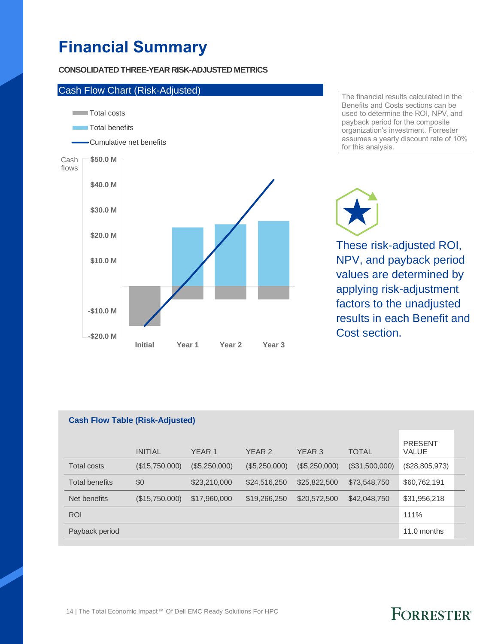# **Financial Summary**

### **CONSOLIDATED THREE-YEAR RISK-ADJUSTED METRICS**



The financial results calculated in the Benefits and Costs sections can be used to determine the ROI, NPV, and payback period for the composite organization's investment. Forrester assumes a yearly discount rate of 10% for this analysis.

These risk-adjusted ROI, NPV, and payback period values are determined by applying risk-adjustment factors to the unadjusted results in each Benefit and Cost section.

### **Cash Flow Table (Risk-Adjusted)**

|                       | <b>INITIAL</b> | YEAR 1        | YEAR 2        | YEAR 3        | <b>TOTAL</b>   | <b>PRESENT</b><br><b>VALUE</b> |  |
|-----------------------|----------------|---------------|---------------|---------------|----------------|--------------------------------|--|
| <b>Total costs</b>    | (\$15,750,000) | (\$5,250,000) | (\$5,250,000) | (\$5,250,000) | (\$31,500,000) | (\$28,805,973)                 |  |
| <b>Total benefits</b> | \$0            | \$23,210,000  | \$24,516,250  | \$25,822,500  | \$73,548,750   | \$60,762,191                   |  |
| Net benefits          | (\$15,750,000) | \$17,960,000  | \$19,266,250  | \$20,572,500  | \$42,048,750   | \$31,956,218                   |  |
| <b>ROI</b>            |                |               |               |               |                | 111%                           |  |
| Payback period        |                |               |               |               |                | 11.0 months                    |  |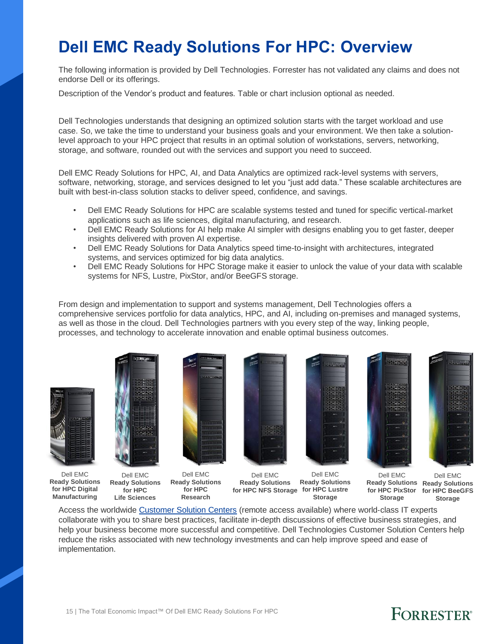# **Dell EMC Ready Solutions For HPC: Overview**

The following information is provided by Dell Technologies. Forrester has not validated any claims and does not endorse Dell or its offerings.

Description of the Vendor's product and features. Table or chart inclusion optional as needed.

Dell Technologies understands that designing an optimized solution starts with the target workload and use case. So, we take the time to understand your business goals and your environment. We then take a solutionlevel approach to your HPC project that results in an optimal solution of workstations, servers, networking, storage, and software, rounded out with the services and support you need to succeed.

Dell EMC Ready Solutions for HPC, AI, and Data Analytics are optimized rack-level systems with servers, software, networking, storage, and services designed to let you "just add data." These scalable architectures are built with best-in-class solution stacks to deliver speed, confidence, and savings.

- Dell EMC Ready Solutions for HPC are scalable systems tested and tuned for specific vertical-market applications such as life sciences, digital manufacturing, and research.
- Dell EMC Ready Solutions for AI help make AI simpler with designs enabling you to get faster, deeper insights delivered with proven AI expertise.
- Dell EMC Ready Solutions for Data Analytics speed time-to-insight with architectures, integrated systems, and services optimized for big data analytics.
- Dell EMC Ready Solutions for HPC Storage make it easier to unlock the value of your data with scalable systems for NFS, Lustre, PixStor, and/or BeeGFS storage.

From design and implementation to support and systems management, Dell Technologies offers a comprehensive services portfolio for data analytics, HPC, and AI, including on-premises and managed systems, as well as those in the cloud. Dell Technologies partners with you every step of the way, linking people, processes, and technology to accelerate innovation and enable optimal business outcomes.







**for HPC**

**Ready Solutions Life Sciences Ready Solutions for HPC Research**



Dell EMC

Dell EMC **Ready Solutions Ready Solutions for HPC NFS Storage for HPC Lustre Storage**



Dell EMC





**Ready Solutions Ready Solutions for HPC PixStor for HPC BeeGFS Storage** Dell EMC **Storage**

Access the worldwide [Customer Solution Centers](http://www.dell.com/csc) (remote access available) where world-class IT experts collaborate with you to share best practices, facilitate in‑depth discussions of effective business strategies, and help your business become more successful and competitive. Dell Technologies Customer Solution Centers help reduce the risks associated with new technology investments and can help improve speed and ease of implementation.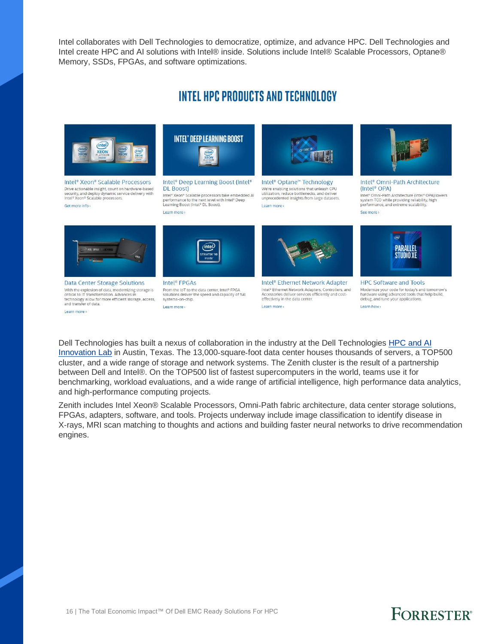Intel collaborates with Dell Technologies to democratize, optimize, and advance HPC. Dell Technologies and Intel create HPC and AI solutions with Intel® inside. Solutions include Intel® Scalable Processors, Optane® Memory, SSDs, FPGAs, and software optimizations.

### **INTEL HPC PRODUCTS AND TECHNOLOGY**



Intel<sup>®</sup> Xeon<sup>®</sup> Scalable Processors The actionable insight, count on hardware-based<br>security, and deploy dynamic service delivery with<br>Intel® Xeon® Scalable processors. Get more info >



Intel<sup>®</sup> Deep Learning Boost (Intel® **DL** Boost)

Intel® Xeon® Scalable processors take embedded AI<br>performance to the next level with Intel® Deep<br>Learning Boost (Intel® DL Boost). Learn more



Intel<sup>®</sup> Optane<sup>™</sup> Technology We're enabling solutions that unleash CPU<br>utilization, reduce bottlenecks, and deliver<br>unprecedented insights from large datasets. Learn more



Intel® Omni-Path Architecture (Intel<sup>®</sup> OPA) Intel® Omni-Path Architecture (Intel® OPA) lowers<br>system TCO while providing reliability, high<br>performance, and extreme scalability. See more



**Data Center Storage Solutions** With the explosion of data, modernizing storage is critical to IT transformation. Advances in technology allow for more efficient storage, access, systems-on-chip.<br>and transfer of data. Learn more



Intel<sup>®</sup> FPGAs From the IoT to the data center, Intel® FPGA solutions deliver the speed and capacity of full Learn more



Intel<sup>®</sup> Ethernet Network Adapter Intel® Ethernet Network Adapters, Controllers, and<br>Accessories deliver services efficiently and cost-<br>effectively in the data center. Learn more



**HPC Software and Tools** Modernize your code for today's and tomorrow<br>hardware using advanced tools that help build,<br>debug, and tune your applications. Learn how »

Dell Technologies has built a nexus of collaboration in the industry at the Dell Technologies [HPC and](http://delltechnologies.com/innovationlab) AI [Innovation Lab](http://delltechnologies.com/innovationlab) in Austin, Texas. The 13,000-square-foot data center houses thousands of servers, a TOP500 cluster, and a wide range of storage and network systems. The Zenith cluster is the result of a partnership between Dell and Intel®. On the TOP500 list of fastest supercomputers in the world, teams use it for benchmarking, workload evaluations, and a wide range of artificial intelligence, high performance data analytics, and high-performance computing projects.

Zenith includes Intel Xeon® Scalable Processors, Omni‑Path fabric architecture, data center storage solutions, FPGAs, adapters, software, and tools. Projects underway include image classification to identify disease in X‑rays, MRI scan matching to thoughts and actions and building faster neural networks to drive recommendation engines.

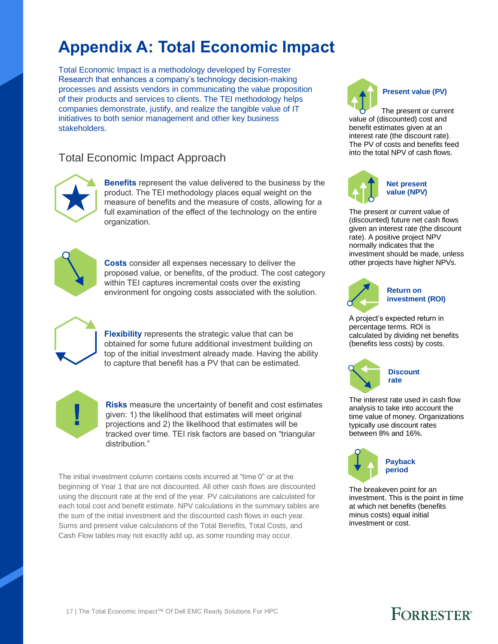# **Appendix A: Total Economic Impact**

Total Economic Impact is a methodology developed by Forrester Research that enhances a company's technology decision-making processes and assists vendors in communicating the value proposition of their products and services to clients. The TEI methodology helps companies demonstrate, justify, and realize the tangible value of IT initiatives to both senior management and other key business stakeholders.

### Total Economic Impact Approach



**Benefits** represent the value delivered to the business by the product. The TEI methodology places equal weight on the measure of benefits and the measure of costs, allowing for a full examination of the effect of the technology on the entire organization.



**Costs** consider all expenses necessary to deliver the proposed value, or benefits, of the product. The cost category within TEI captures incremental costs over the existing environment for ongoing costs associated with the solution.



**Flexibility** represents the strategic value that can be obtained for some future additional investment building on top of the initial investment already made. Having the ability to capture that benefit has a PV that can be estimated.



**Risks** measure the uncertainty of benefit and cost estimates given: 1) the likelihood that estimates will meet original projections and 2) the likelihood that estimates will be tracked over time. TEI risk factors are based on "triangular distribution."

The initial investment column contains costs incurred at "time 0" or at the beginning of Year 1 that are not discounted. All other cash flows are discounted using the discount rate at the end of the year. PV calculations are calculated for each total cost and benefit estimate. NPV calculations in the summary tables are the sum of the initial investment and the discounted cash flows in each year. Sums and present value calculations of the Total Benefits, Total Costs, and Cash Flow tables may not exactly add up, as some rounding may occur.



The present or current value of (discounted) cost and benefit estimates given at an interest rate (the discount rate). The PV of costs and benefits feed into the total NPV of cash flows.



The present or current value of (discounted) future net cash flows given an interest rate (the discount rate). A positive project NPV normally indicates that the investment should be made, unless other projects have higher NPVs.



### **Return on investment (ROI)**

A project's expected return in percentage terms. ROI is calculated by dividing net benefits (benefits less costs) by costs.





The interest rate used in cash flow analysis to take into account the time value of money. Organizations typically use discount rates between 8% and 16%.



The breakeven point for an investment. This is the point in time at which net benefits (benefits minus costs) equal initial investment or cost.